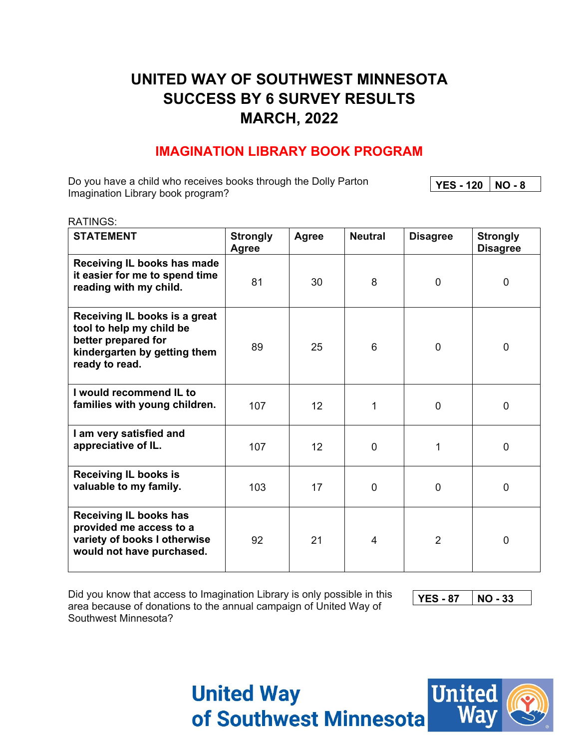# **UNITED WAY OF SOUTHWEST MINNESOTA SUCCESS BY 6 SURVEY RESULTS MARCH, 2022**

### **IMAGINATION LIBRARY BOOK PROGRAM**

Do you have a child who receives books through the Dolly Parton Imagination Library book program? YES - 120 | NO - 8

| <b>RATINGS:</b>                                                                                                                    |                          |       |                |                 |                                    |
|------------------------------------------------------------------------------------------------------------------------------------|--------------------------|-------|----------------|-----------------|------------------------------------|
| <b>STATEMENT</b>                                                                                                                   | <b>Strongly</b><br>Agree | Agree | <b>Neutral</b> | <b>Disagree</b> | <b>Strongly</b><br><b>Disagree</b> |
| Receiving IL books has made<br>it easier for me to spend time<br>reading with my child.                                            | 81                       | 30    | 8              | $\mathbf 0$     | $\overline{0}$                     |
| Receiving IL books is a great<br>tool to help my child be<br>better prepared for<br>kindergarten by getting them<br>ready to read. | 89                       | 25    | 6              | $\mathbf 0$     | $\mathbf 0$                        |
| I would recommend IL to<br>families with young children.                                                                           | 107                      | 12    | 1              | $\mathbf 0$     | $\overline{0}$                     |
| I am very satisfied and<br>appreciative of IL.                                                                                     | 107                      | 12    | $\mathbf 0$    | 1               | $\overline{0}$                     |
| <b>Receiving IL books is</b><br>valuable to my family.                                                                             | 103                      | 17    | $\mathbf 0$    | $\mathbf 0$     | $\overline{0}$                     |
| <b>Receiving IL books has</b><br>provided me access to a<br>variety of books I otherwise<br>would not have purchased.              | 92                       | 21    | $\overline{4}$ | $\overline{2}$  | $\overline{0}$                     |

Did you know that access to Imagination Library is only possible in this area because of donations to the annual campaign of United Way of Southwest Minnesota?

**YES - 87 NO - 33** 

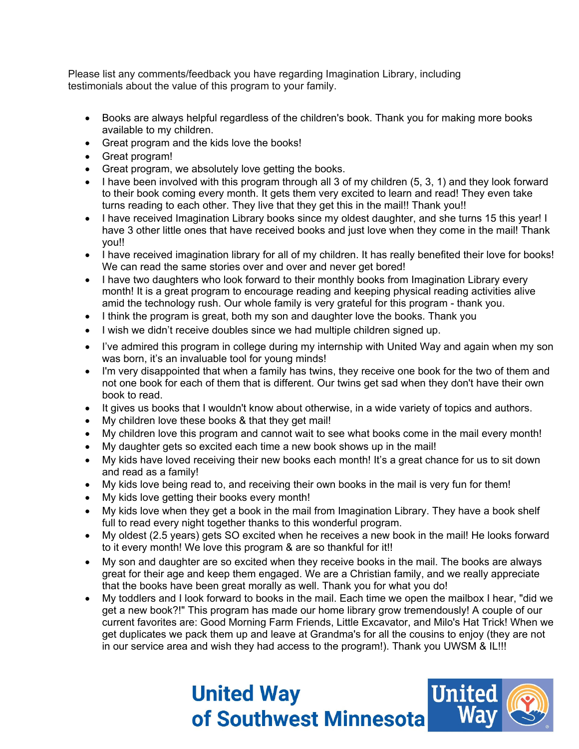Please list any comments/feedback you have regarding Imagination Library, including testimonials about the value of this program to your family.

- Books are always helpful regardless of the children's book. Thank you for making more books available to my children.
- Great program and the kids love the books!
- Great program!
- Great program, we absolutely love getting the books.
- $\bullet$  I have been involved with this program through all 3 of my children (5, 3, 1) and they look forward to their book coming every month. It gets them very excited to learn and read! They even take turns reading to each other. They live that they get this in the mail!! Thank you!!
- I have received Imagination Library books since my oldest daughter, and she turns 15 this year! I have 3 other little ones that have received books and just love when they come in the mail! Thank you!!
- I have received imagination library for all of my children. It has really benefited their love for books! We can read the same stories over and over and never get bored!
- I have two daughters who look forward to their monthly books from Imagination Library every month! It is a great program to encourage reading and keeping physical reading activities alive amid the technology rush. Our whole family is very grateful for this program - thank you.
- I think the program is great, both my son and daughter love the books. Thank you
- I wish we didn't receive doubles since we had multiple children signed up.
- I've admired this program in college during my internship with United Way and again when my son was born, it's an invaluable tool for young minds!
- I'm very disappointed that when a family has twins, they receive one book for the two of them and not one book for each of them that is different. Our twins get sad when they don't have their own book to read.
- It gives us books that I wouldn't know about otherwise, in a wide variety of topics and authors.
- My children love these books & that they get mail!
- My children love this program and cannot wait to see what books come in the mail every month!
- My daughter gets so excited each time a new book shows up in the mail!
- My kids have loved receiving their new books each month! It's a great chance for us to sit down and read as a family!
- My kids love being read to, and receiving their own books in the mail is very fun for them!
- My kids love getting their books every month!
- My kids love when they get a book in the mail from Imagination Library. They have a book shelf full to read every night together thanks to this wonderful program.
- My oldest (2.5 years) gets SO excited when he receives a new book in the mail! He looks forward to it every month! We love this program & are so thankful for it!!
- My son and daughter are so excited when they receive books in the mail. The books are always great for their age and keep them engaged. We are a Christian family, and we really appreciate that the books have been great morally as well. Thank you for what you do!
- My toddlers and I look forward to books in the mail. Each time we open the mailbox I hear, "did we get a new book?!" This program has made our home library grow tremendously! A couple of our current favorites are: Good Morning Farm Friends, Little Excavator, and Milo's Hat Trick! When we get duplicates we pack them up and leave at Grandma's for all the cousins to enjoy (they are not in our service area and wish they had access to the program!). Thank you UWSM & IL!!!

# **United United Way** of Southwest Minnesota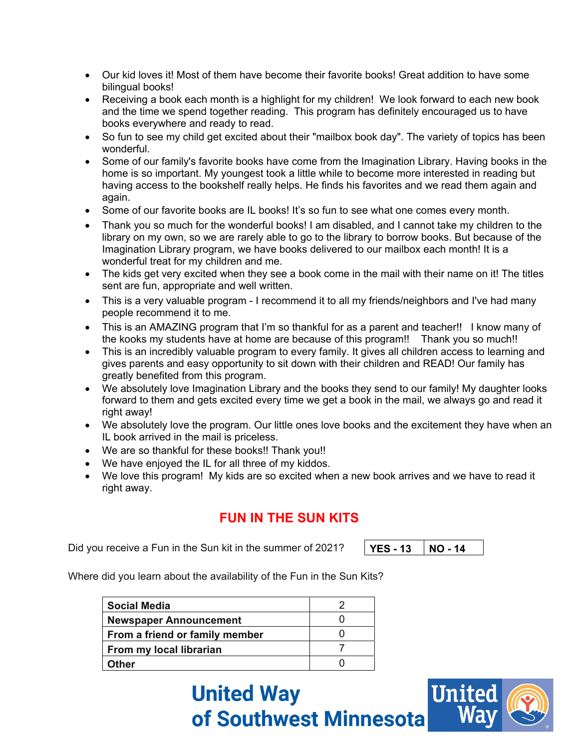- Our kid loves it! Most of them have become their favorite books! Great addition to have some bilingual books!
- Receiving a book each month is a highlight for my children! We look forward to each new book and the time we spend together reading. This program has definitely encouraged us to have books everywhere and ready to read.
- So fun to see my child get excited about their "mailbox book day". The variety of topics has been wonderful.
- Some of our family's favorite books have come from the Imagination Library. Having books in the home is so important. My youngest took a little while to become more interested in reading but having access to the bookshelf really helps. He finds his favorites and we read them again and again.
- Some of our favorite books are IL books! It's so fun to see what one comes every month.
- Thank you so much for the wonderful books! I am disabled, and I cannot take my children to the library on my own, so we are rarely able to go to the library to borrow books. But because of the Imagination Library program, we have books delivered to our mailbox each month! It is a wonderful treat for my children and me.
- The kids get very excited when they see a book come in the mail with their name on it! The titles sent are fun, appropriate and well written.
- This is a very valuable program I recommend it to all my friends/neighbors and I've had many people recommend it to me.
- This is an AMAZING program that I'm so thankful for as a parent and teacher!! I know many of the kooks my students have at home are because of this program!! Thank you so much!!
- This is an incredibly valuable program to every family. It gives all children access to learning and gives parents and easy opportunity to sit down with their children and READ! Our family has greatly benefited from this program.
- We absolutely love Imagination Library and the books they send to our family! My daughter looks forward to them and gets excited every time we get a book in the mail, we always go and read it right away!
- We absolutely love the program. Our little ones love books and the excitement they have when an IL book arrived in the mail is priceless.
- We are so thankful for these books!! Thank you!!
- We have enjoyed the IL for all three of my kiddos.
- We love this program! My kids are so excited when a new book arrives and we have to read it right away.

### **FUN IN THE SUN KITS**

Did you receive a Fun in the Sun kit in the summer of 2021?

**YES - 13 NO - 14** 

Where did you learn about the availability of the Fun in the Sun Kits?

| <b>Social Media</b>            |  |
|--------------------------------|--|
| <b>Newspaper Announcement</b>  |  |
| From a friend or family member |  |
| From my local librarian        |  |
| Other                          |  |

**United Way** of Southwest Minnesota

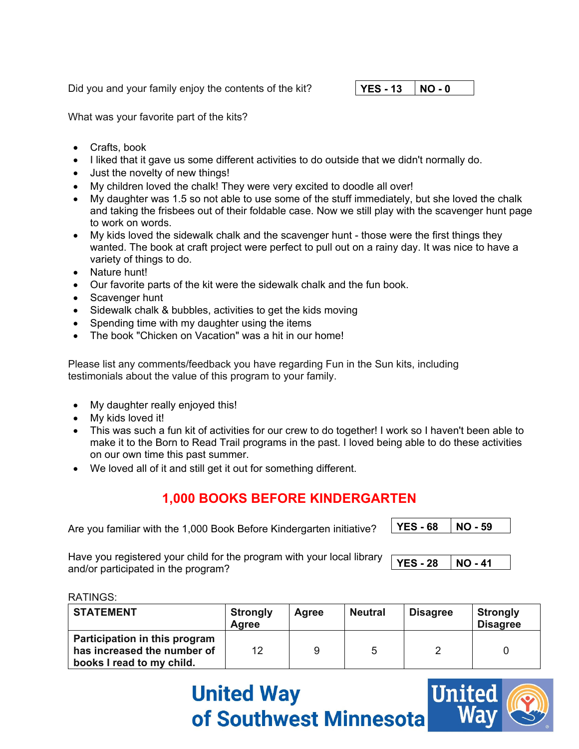Did you and your family enjoy the contents of the kit?

#### **YES - 13 NO - 0**

What was your favorite part of the kits?

- Crafts, book
- I liked that it gave us some different activities to do outside that we didn't normally do.
- Just the novelty of new things!
- My children loved the chalk! They were very excited to doodle all over!
- My daughter was 1.5 so not able to use some of the stuff immediately, but she loved the chalk and taking the frisbees out of their foldable case. Now we still play with the scavenger hunt page to work on words.
- My kids loved the sidewalk chalk and the scavenger hunt those were the first things they wanted. The book at craft project were perfect to pull out on a rainy day. It was nice to have a variety of things to do.
- Nature hunt!
- Our favorite parts of the kit were the sidewalk chalk and the fun book.
- Scavenger hunt
- Sidewalk chalk & bubbles, activities to get the kids moving
- Spending time with my daughter using the items
- The book "Chicken on Vacation" was a hit in our home!

Please list any comments/feedback you have regarding Fun in the Sun kits, including testimonials about the value of this program to your family.

- My daughter really enjoyed this!
- My kids loved it!
- This was such a fun kit of activities for our crew to do together! I work so I haven't been able to make it to the Born to Read Trail programs in the past. I loved being able to do these activities on our own time this past summer.
- We loved all of it and still get it out for something different.

## **1,000 BOOKS BEFORE KINDERGARTEN**

Are you familiar with the 1,000 Book Before Kindergarten initiative?

**YES - 68 NO - 59** 

Have you registered your child for the program with your local library and/or participated in the program?

**YES - 28 NO - 41** 

RATINGS:

| <b>STATEMENT</b>                                                                          | <b>Strongly</b><br><b>Agree</b> | <b>Agree</b> | <b>Neutral</b> | <b>Disagree</b> | <b>Strongly</b><br><b>Disagree</b> |
|-------------------------------------------------------------------------------------------|---------------------------------|--------------|----------------|-----------------|------------------------------------|
| Participation in this program<br>has increased the number of<br>books I read to my child. | 12                              |              | 5              |                 |                                    |

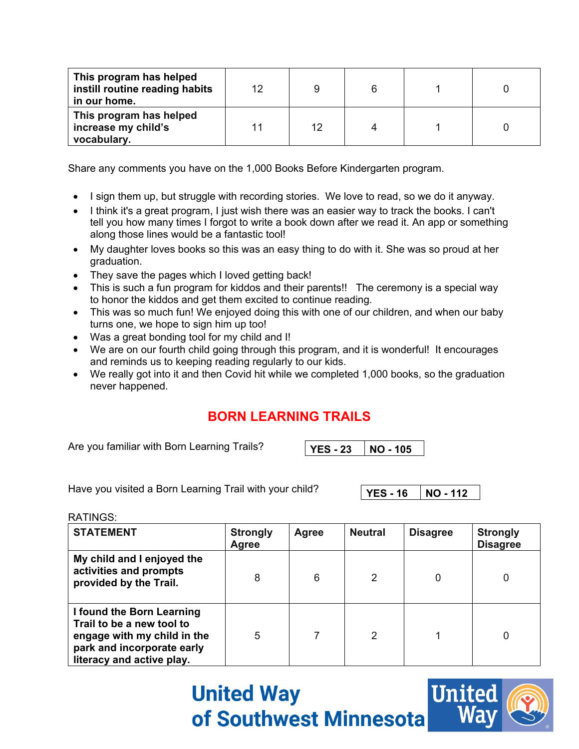| This program has helped<br>instill routine reading habits<br>in our home. | 12 |    | 6 |  |
|---------------------------------------------------------------------------|----|----|---|--|
| This program has helped<br>increase my child's<br>vocabulary.             |    | 12 |   |  |

Share any comments you have on the 1,000 Books Before Kindergarten program.

- I sign them up, but struggle with recording stories. We love to read, so we do it anyway.
- I think it's a great program, I just wish there was an easier way to track the books. I can't tell you how many times I forgot to write a book down after we read it. An app or something along those lines would be a fantastic tool!
- My daughter loves books so this was an easy thing to do with it. She was so proud at her graduation.
- They save the pages which I loved getting back!
- This is such a fun program for kiddos and their parents!! The ceremony is a special way to honor the kiddos and get them excited to continue reading.
- This was so much fun! We enjoyed doing this with one of our children, and when our baby turns one, we hope to sign him up too!
- Was a great bonding tool for my child and I!
- We are on our fourth child going through this program, and it is wonderful! It encourages and reminds us to keeping reading regularly to our kids.
- We really got into it and then Covid hit while we completed 1,000 books, so the graduation never happened.

## **BORN LEARNING TRAILS**

Are you familiar with Born Learning Trails?

**YES - 23 NO - 105** 

Have you visited a Born Learning Trail with your child?

**YES - 16 NO - 112** 

RATINGS:

| <b>STATEMENT</b>                                                                                                                                 | <b>Strongly</b><br>Agree | Agree | <b>Neutral</b> | <b>Disagree</b> | <b>Strongly</b><br><b>Disagree</b> |
|--------------------------------------------------------------------------------------------------------------------------------------------------|--------------------------|-------|----------------|-----------------|------------------------------------|
| My child and I enjoyed the<br>activities and prompts<br>provided by the Trail.                                                                   | 8                        | 6     | 2              | 0               |                                    |
| I found the Born Learning<br>Trail to be a new tool to<br>engage with my child in the<br>park and incorporate early<br>literacy and active play. | 5                        |       | 2              |                 |                                    |

**United Way** of Southwest Minnesota